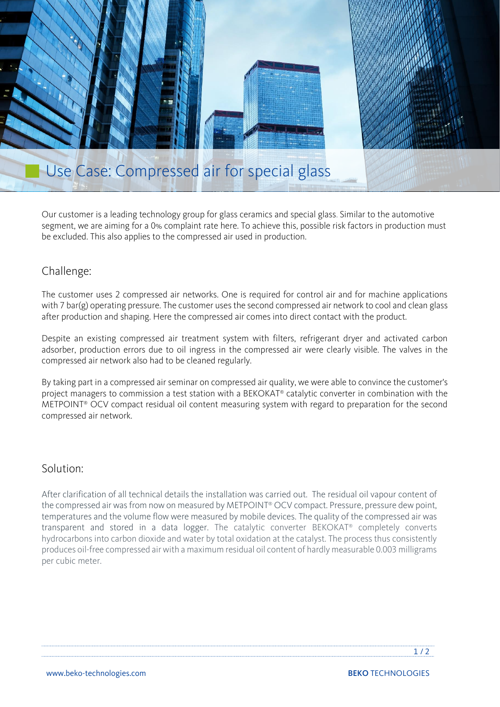

Our customer is a leading technology group for glass ceramics and special glass. Similar to the automotive segment, we are aiming for a 0% complaint rate here. To achieve this, possible risk factors in production must be excluded. This also applies to the compressed air used in production.

## Challenge:

The customer uses 2 compressed air networks. One is required for control air and for machine applications with 7 bar(g) operating pressure. The customer uses the second compressed air network to cool and clean glass after production and shaping. Here the compressed air comes into direct contact with the product.

Despite an existing compressed air treatment system with filters, refrigerant dryer and activated carbon adsorber, production errors due to oil ingress in the compressed air were clearly visible. The valves in the compressed air network also had to be cleaned regularly.

By taking part in a compressed air seminar on compressed air quality, we were able to convince the customer's project managers to commission a test station with a BEKOKAT® catalytic converter in combination with the METPOINT® OCV compact residual oil content measuring system with regard to preparation for the second compressed air network.

### Solution:

After clarification of all technical details the installation was carried out. The residual oil vapour content of the compressed air was from now on measured by METPOINT® OCV compact. Pressure, pressure dew point, temperatures and the volume flow were measured by mobile devices. The quality of the compressed air was transparent and stored in a data logger. The catalytic converter BEKOKAT® completely converts hydrocarbons into carbon dioxide and water by total oxidation at the catalyst. The process thus consistently produces oil-free compressed air with a maximum residual oil content of hardly measurable 0.003 milligrams per cubic meter.

 $1/2$